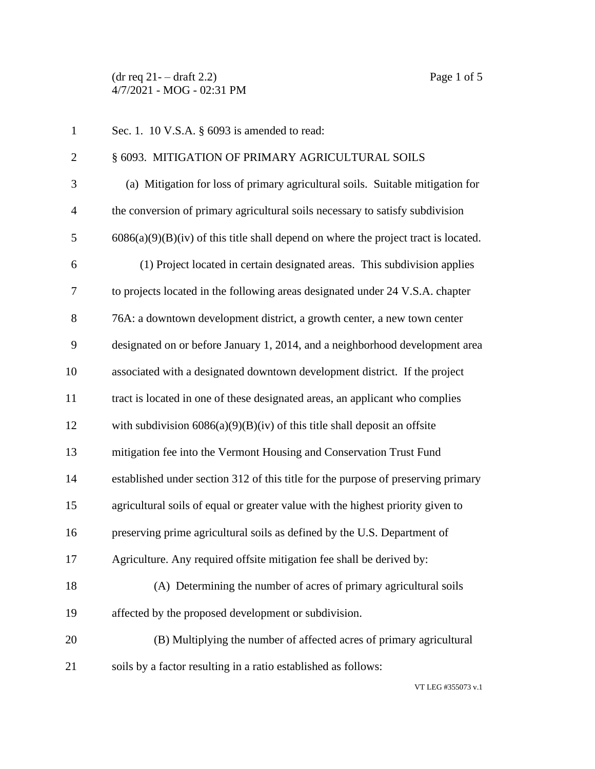$(\text{dr } \text{req } 21 - \text{draff } 2.2)$  Page 1 of 5 4/7/2021 - MOG - 02:31 PM

| $\mathbf{1}$   | Sec. 1. 10 V.S.A. § 6093 is amended to read:                                          |
|----------------|---------------------------------------------------------------------------------------|
| $\overline{2}$ | § 6093. MITIGATION OF PRIMARY AGRICULTURAL SOILS                                      |
| 3              | (a) Mitigation for loss of primary agricultural soils. Suitable mitigation for        |
| $\overline{4}$ | the conversion of primary agricultural soils necessary to satisfy subdivision         |
| 5              | $6086(a)(9)(B)(iv)$ of this title shall depend on where the project tract is located. |
| 6              | (1) Project located in certain designated areas. This subdivision applies             |
| 7              | to projects located in the following areas designated under 24 V.S.A. chapter         |
| 8              | 76A: a downtown development district, a growth center, a new town center              |
| 9              | designated on or before January 1, 2014, and a neighborhood development area          |
| 10             | associated with a designated downtown development district. If the project            |
| 11             | tract is located in one of these designated areas, an applicant who complies          |
| 12             | with subdivision $6086(a)(9)(B)(iv)$ of this title shall deposit an offsite           |
| 13             | mitigation fee into the Vermont Housing and Conservation Trust Fund                   |
| 14             | established under section 312 of this title for the purpose of preserving primary     |
| 15             | agricultural soils of equal or greater value with the highest priority given to       |
| 16             | preserving prime agricultural soils as defined by the U.S. Department of              |
| 17             | Agriculture. Any required offsite mitigation fee shall be derived by:                 |
| 18             | (A) Determining the number of acres of primary agricultural soils                     |
| 19             | affected by the proposed development or subdivision.                                  |
| 20             | (B) Multiplying the number of affected acres of primary agricultural                  |
| 21             | soils by a factor resulting in a ratio established as follows:                        |

VT LEG #355073 v.1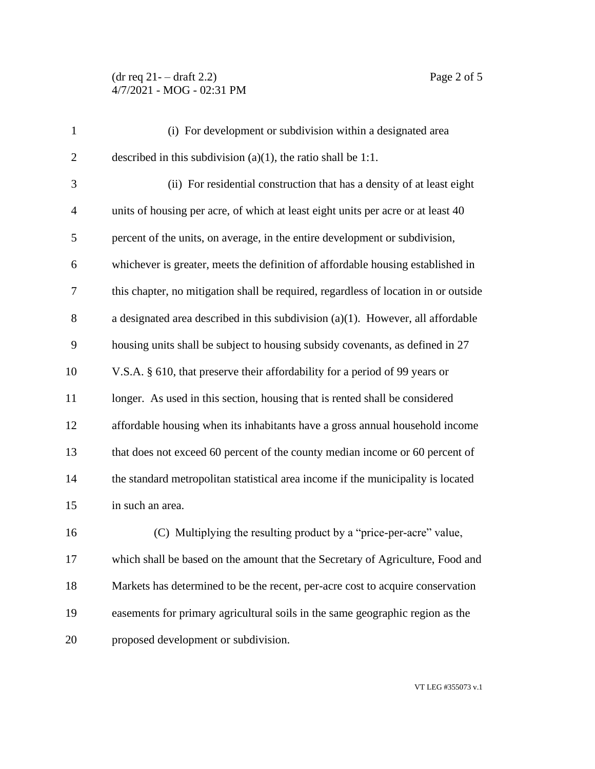## $(\text{dr } \text{req } 21 - \text{draff } 2.2)$  Page 2 of 5 4/7/2021 - MOG - 02:31 PM

| $\mathbf{1}$   | (i) For development or subdivision within a designated area                         |
|----------------|-------------------------------------------------------------------------------------|
| $\overline{2}$ | described in this subdivision (a)(1), the ratio shall be 1:1.                       |
| 3              | (ii) For residential construction that has a density of at least eight              |
| $\overline{4}$ | units of housing per acre, of which at least eight units per acre or at least 40    |
| 5              | percent of the units, on average, in the entire development or subdivision,         |
| 6              | whichever is greater, meets the definition of affordable housing established in     |
| 7              | this chapter, no mitigation shall be required, regardless of location in or outside |
| 8              | a designated area described in this subdivision $(a)(1)$ . However, all affordable  |
| 9              | housing units shall be subject to housing subsidy covenants, as defined in 27       |
| 10             | V.S.A. § 610, that preserve their affordability for a period of 99 years or         |
| 11             | longer. As used in this section, housing that is rented shall be considered         |
| 12             | affordable housing when its inhabitants have a gross annual household income        |
| 13             | that does not exceed 60 percent of the county median income or 60 percent of        |
| 14             | the standard metropolitan statistical area income if the municipality is located    |
| 15             | in such an area.                                                                    |
| 16             | (C) Multiplying the resulting product by a "price-per-acre" value,                  |
| 17             | which shall be based on the amount that the Secretary of Agriculture, Food and      |
| 18             | Markets has determined to be the recent, per-acre cost to acquire conservation      |
| 19             | easements for primary agricultural soils in the same geographic region as the       |
| 20             | proposed development or subdivision.                                                |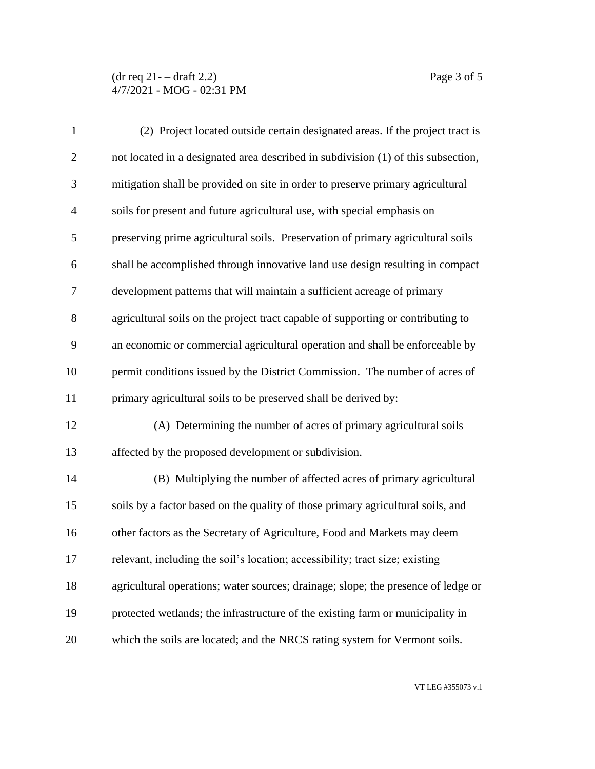## $(\text{dr } \text{req } 21 - \text{draff } 2.2)$  Page 3 of 5 4/7/2021 - MOG - 02:31 PM

| $\mathbf{1}$   | (2) Project located outside certain designated areas. If the project tract is     |
|----------------|-----------------------------------------------------------------------------------|
| $\mathbf{2}$   | not located in a designated area described in subdivision (1) of this subsection, |
| 3              | mitigation shall be provided on site in order to preserve primary agricultural    |
| $\overline{4}$ | soils for present and future agricultural use, with special emphasis on           |
| 5              | preserving prime agricultural soils. Preservation of primary agricultural soils   |
| 6              | shall be accomplished through innovative land use design resulting in compact     |
| $\tau$         | development patterns that will maintain a sufficient acreage of primary           |
| $8\,$          | agricultural soils on the project tract capable of supporting or contributing to  |
| 9              | an economic or commercial agricultural operation and shall be enforceable by      |
| 10             | permit conditions issued by the District Commission. The number of acres of       |
| 11             | primary agricultural soils to be preserved shall be derived by:                   |
| 12             | (A) Determining the number of acres of primary agricultural soils                 |
| 13             | affected by the proposed development or subdivision.                              |
| 14             | (B) Multiplying the number of affected acres of primary agricultural              |
| 15             | soils by a factor based on the quality of those primary agricultural soils, and   |
| 16             | other factors as the Secretary of Agriculture, Food and Markets may deem          |
| 17             | relevant, including the soil's location; accessibility; tract size; existing      |
| 18             | agricultural operations; water sources; drainage; slope; the presence of ledge or |
| 19             | protected wetlands; the infrastructure of the existing farm or municipality in    |
| 20             | which the soils are located; and the NRCS rating system for Vermont soils.        |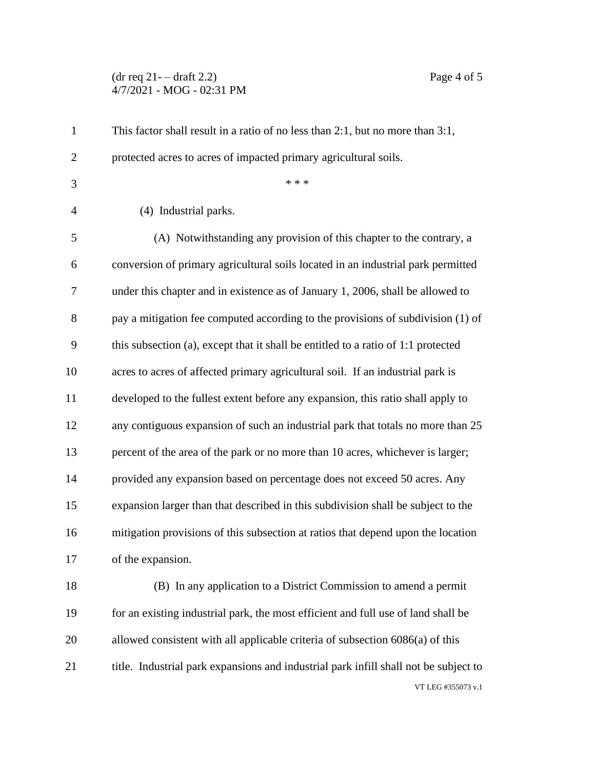## $(\text{dr } \text{req } 21 - \text{draff } 2.2)$  Page 4 of 5 4/7/2021 - MOG - 02:31 PM

| $\mathbf{1}$   | This factor shall result in a ratio of no less than $2:1$ , but no more than $3:1$ , |
|----------------|--------------------------------------------------------------------------------------|
| $\overline{2}$ | protected acres to acres of impacted primary agricultural soils.                     |
| 3              | * * *                                                                                |
| $\overline{4}$ | (4) Industrial parks.                                                                |
| 5              | (A) Notwithstanding any provision of this chapter to the contrary, a                 |
| 6              | conversion of primary agricultural soils located in an industrial park permitted     |
| 7              | under this chapter and in existence as of January 1, 2006, shall be allowed to       |
| 8              | pay a mitigation fee computed according to the provisions of subdivision (1) of      |
| 9              | this subsection (a), except that it shall be entitled to a ratio of 1:1 protected    |
| 10             | acres to acres of affected primary agricultural soil. If an industrial park is       |
| 11             | developed to the fullest extent before any expansion, this ratio shall apply to      |
| 12             | any contiguous expansion of such an industrial park that totals no more than 25      |
| 13             | percent of the area of the park or no more than 10 acres, whichever is larger;       |
| 14             | provided any expansion based on percentage does not exceed 50 acres. Any             |
| 15             | expansion larger than that described in this subdivision shall be subject to the     |
| 16             | mitigation provisions of this subsection at ratios that depend upon the location     |
| 17             | of the expansion.                                                                    |
| 18             | (B) In any application to a District Commission to amend a permit                    |
| 19             | for an existing industrial park, the most efficient and full use of land shall be    |
| 20             | allowed consistent with all applicable criteria of subsection 6086(a) of this        |
| 21             | title. Industrial park expansions and industrial park infill shall not be subject to |
|                | VT LEG #355073 v.1                                                                   |